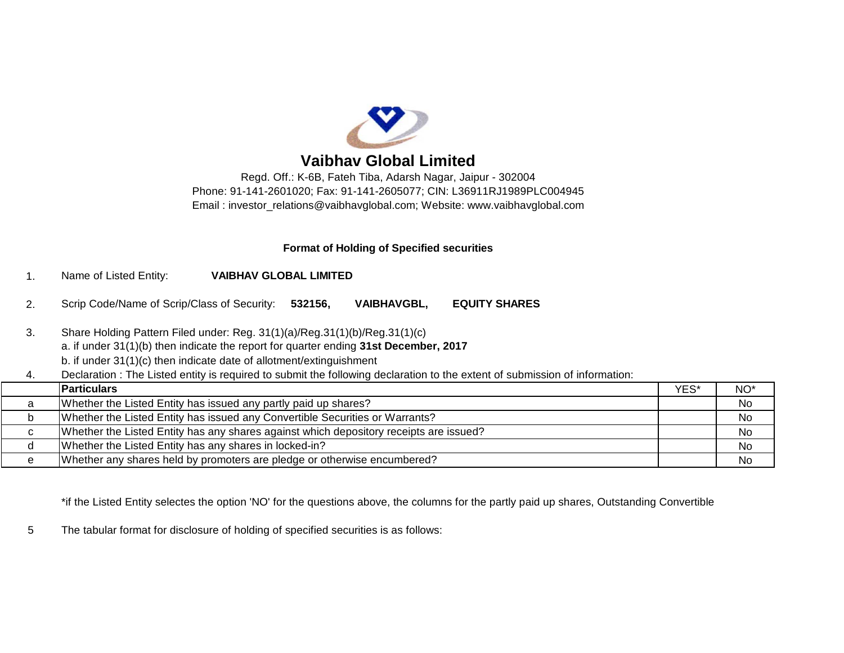

# **Vaibhav Global Limited**

Regd. Off.: K-6B, Fateh Tiba, Adarsh Nagar, Jaipur - 302004 Phone: 91-141-2601020; Fax: 91-141-2605077; CIN: L36911RJ1989PLC004945 Email : [investor\\_relations@vaibhavglobal.com;](mailto:investor_relations@vaibhavglobal.com;) Website: [www.vaibhavglobal.com](http://www.vaibhavglobal.com)

## **Format of Holding of Specified securities**

- 1. Name of Listed Entity: **VAIBHAV GLOBAL LIMITED**
- 2. Scrip Code/Name of Scrip/Class of Security: **532156, VAIBHAVGBL, EQUITY SHARES**
- 3. Share Holding Pattern Filed under: Reg. 31(1)(a)/Reg.31(1)(b)/Reg.31(1)(c) a. if under 31(1)(b) then indicate the report for quarter ending **31st December, 2017**
	- b. if under 31(1)(c) then indicate date of allotment/extinguishment
- 4. Declaration : The Listed entity is required to submit the following declaration to the extent of submission of information:

|   | <b>Particulars</b>                                                                     | YES* | NO <sup>*</sup> |
|---|----------------------------------------------------------------------------------------|------|-----------------|
| a | Whether the Listed Entity has issued any partly paid up shares?                        |      | <b>No</b>       |
| ັ | Whether the Listed Entity has issued any Convertible Securities or Warrants?           |      | No              |
| C | Whether the Listed Entity has any shares against which depository receipts are issued? |      | No              |
|   | Whether the Listed Entity has any shares in locked-in?                                 |      | No              |
|   | Whether any shares held by promoters are pledge or otherwise encumbered?               |      | No              |

\*if the Listed Entity selectes the option 'NO' for the questions above, the columns for the partly paid up shares, Outstanding Convertible

5 The tabular format for disclosure of holding of specified securities is as follows: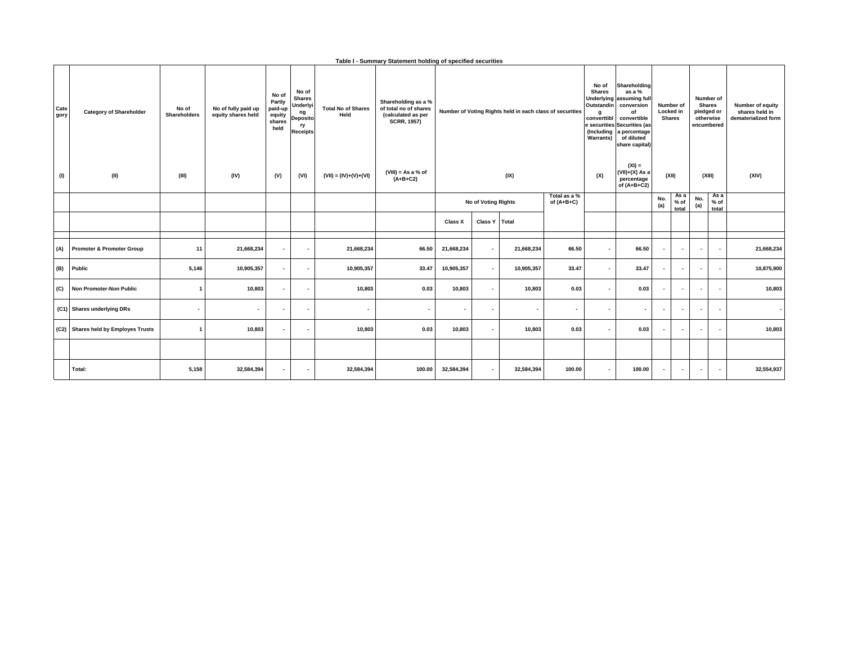|  | Table I - Summary Statement holding of specified securities |  |  |  |  |
|--|-------------------------------------------------------------|--|--|--|--|
|--|-------------------------------------------------------------|--|--|--|--|

| Cate<br>gory | <b>Category of Shareholder</b>       | No of<br>Shareholders | No of fully paid up<br>equity shares held | No of<br>Partly<br>paid-up<br>equity<br>shares<br>held | No of<br><b>Shares</b><br>Underlyi<br>ng<br><b>Deposito</b><br>ry<br><b>Receipts</b> | <b>Total No of Shares</b><br>Held | Shareholding as a %<br>of total no of shares<br>(calculated as per<br><b>SCRR, 1957)</b> |                     |                                        |                          |                          |                                                             |                          |                          |                          |                          |            | Number of Voting Rights held in each class of securities |  |  |  | Shareholding<br>as a %<br>Underlying assuming full<br>Outstandin conversion<br>of<br>convertible<br>converttibl<br>e securities Securities (as<br>(Including<br>a percentage<br>of diluted<br>share capital) |  | Number of<br>Locked in<br><b>Shares</b> |  | Number of<br><b>Shares</b><br>pledged or<br>otherwise<br>encumbered | Number of equity<br>shares held in<br>dematerialized form |
|--------------|--------------------------------------|-----------------------|-------------------------------------------|--------------------------------------------------------|--------------------------------------------------------------------------------------|-----------------------------------|------------------------------------------------------------------------------------------|---------------------|----------------------------------------|--------------------------|--------------------------|-------------------------------------------------------------|--------------------------|--------------------------|--------------------------|--------------------------|------------|----------------------------------------------------------|--|--|--|--------------------------------------------------------------------------------------------------------------------------------------------------------------------------------------------------------------|--|-----------------------------------------|--|---------------------------------------------------------------------|-----------------------------------------------------------|
| (1)          | (II)                                 | (III)                 | (IV)                                      | (V)                                                    | (VI)                                                                                 | $(VII) = (IV)+(V)+(VI)$           | $(VIII)$ = As a % of<br>$(A+B+C2)$                                                       | (IX)                |                                        |                          |                          | $(XI) =$<br>$(VII)+(X)$ As a<br>percentage<br>of $(A+B+C2)$ |                          | (XII)                    |                          | (XIII)                   | (XIV)      |                                                          |  |  |  |                                                                                                                                                                                                              |  |                                         |  |                                                                     |                                                           |
|              |                                      |                       |                                           |                                                        |                                                                                      |                                   |                                                                                          | No of Voting Rights |                                        |                          |                          | Total as a %<br>of $(A+B+C)$                                |                          |                          | No.<br>(a)               | As a<br>$%$ of<br>total  | No.<br>(a) | As a<br>$%$ of<br>total                                  |  |  |  |                                                                                                                                                                                                              |  |                                         |  |                                                                     |                                                           |
|              |                                      |                       |                                           |                                                        |                                                                                      |                                   |                                                                                          | Class X             | Class Y Total                          |                          |                          |                                                             |                          |                          |                          |                          |            |                                                          |  |  |  |                                                                                                                                                                                                              |  |                                         |  |                                                                     |                                                           |
| (A)          | <b>Promoter &amp; Promoter Group</b> | 11                    | 21,668,234                                | $\sim$                                                 | $\overline{\phantom{a}}$                                                             | 21,668,234                        | 66.50                                                                                    | 21,668,234          | 21,668,234<br>$\overline{\phantom{a}}$ | 66.50                    | . .                      | 66.50                                                       | $\overline{\phantom{a}}$ | $\sim$                   | $\overline{\phantom{a}}$ | $\overline{\phantom{a}}$ | 21,668,234 |                                                          |  |  |  |                                                                                                                                                                                                              |  |                                         |  |                                                                     |                                                           |
| (B)          | Public                               | 5,146                 | 10,905,357                                | $\sim$                                                 | $\overline{\phantom{a}}$                                                             | 10,905,357                        | 33.47                                                                                    | 10,905,357          | 10,905,357<br>$\overline{\phantom{a}}$ | 33.47                    | $\sim$                   | 33.47                                                       | $\overline{\phantom{a}}$ | $\sim$                   | $\overline{\phantom{a}}$ | ۰.                       | 10,875,900 |                                                          |  |  |  |                                                                                                                                                                                                              |  |                                         |  |                                                                     |                                                           |
| (C)          | Non Promoter-Non Public              | $\mathbf{1}$          | 10,803                                    | $\overline{\phantom{a}}$                               | $\overline{\phantom{a}}$                                                             | 10,803                            | 0.03                                                                                     | 10,803              | 10,803<br>$\blacksquare$               | 0.03                     |                          | 0.03                                                        | $\overline{\phantom{a}}$ | $\overline{\phantom{a}}$ | $\overline{\phantom{a}}$ |                          | 10,803     |                                                          |  |  |  |                                                                                                                                                                                                              |  |                                         |  |                                                                     |                                                           |
|              | (C1) Shares underlying DRs           |                       | $\blacksquare$                            | $\overline{\phantom{a}}$                               | $\overline{\phantom{a}}$                                                             | $\blacksquare$                    | $\overline{\phantom{a}}$                                                                 |                     | $\blacksquare$<br>٠                    | $\overline{\phantom{a}}$ |                          | $\overline{\phantom{a}}$                                    | $\blacksquare$           |                          | $\overline{\phantom{a}}$ |                          |            |                                                          |  |  |  |                                                                                                                                                                                                              |  |                                         |  |                                                                     |                                                           |
|              | (C2) Shares held by Employes Trusts  | $\mathbf{1}$          | 10,803                                    | $\overline{\phantom{a}}$                               | $\overline{\phantom{a}}$                                                             | 10,803                            | 0.03                                                                                     | 10,803              | 10,803<br>$\blacksquare$               | 0.03                     | $\overline{\phantom{a}}$ | 0.03                                                        | $\overline{\phantom{a}}$ | $\overline{\phantom{a}}$ | $\overline{\phantom{a}}$ |                          | 10,803     |                                                          |  |  |  |                                                                                                                                                                                                              |  |                                         |  |                                                                     |                                                           |
|              |                                      |                       |                                           |                                                        |                                                                                      |                                   |                                                                                          |                     |                                        |                          |                          |                                                             |                          |                          |                          |                          |            |                                                          |  |  |  |                                                                                                                                                                                                              |  |                                         |  |                                                                     |                                                           |
|              | Total:                               | 5,158                 | 32,584,394                                | $\overline{\phantom{a}}$                               | $\overline{\phantom{a}}$                                                             | 32,584,394                        | 100.00                                                                                   | 32,584,394          | 32,584,394<br>۰.                       | 100.00                   |                          | 100.00                                                      | $\overline{\phantom{a}}$ | $\sim$                   | $\overline{\phantom{a}}$ | $\overline{\phantom{a}}$ | 32,554,937 |                                                          |  |  |  |                                                                                                                                                                                                              |  |                                         |  |                                                                     |                                                           |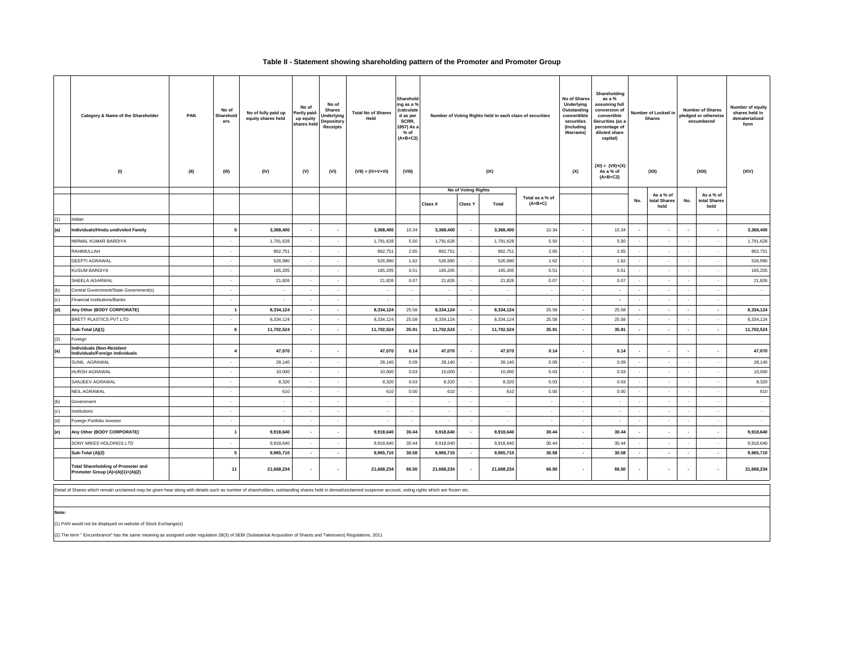#### **Table II - Statement showing shareholding pattern of the Promoter and Promoter Group**

|     | PAN<br>Category & Name of the Shareholder<br>(1)<br>(II)                      | No of<br>Sharehold<br>ers<br>(III) | No of fully paid up<br>equity shares held<br>(IV) | No of<br>Partly paid-<br>up equity<br>shares held<br>(V) | No of<br><b>Shares</b><br><b>Underlying</b><br>Depository<br>Receipts<br>(VI) | <b>Total No of Shares</b><br>Held<br>$(VII) = (IV+V+VI)$ | Sharehold<br>ing as a %<br>(calculate<br>d as per<br>SCRR,<br>1957) As a<br>% of<br>$(A+B+C2)$<br>(VIII) |                | Number of Voting Rights held in each class of securities<br>(IX) | No of Shares<br>Underlying<br>Outstanding<br>converttible<br>securities<br>(Including<br>Warrants)<br>(X) | Shareholding<br>as a %<br>assuming full<br>conversion of<br>convertible<br>Securities (as a<br>percentage of<br>diluted share<br>capital)<br>$(XI) = (VII)+(X)$<br>As a % of<br>$(A+B+C2)$ | Number of Locked in<br><b>Shares</b><br>(XII) |                          | <b>Number of Shares</b><br>pledged or otherwise<br>encumbered<br>(XIII) |        | Number of equity<br>shares held in<br>dematerialized<br>form<br>(XIV) |            |
|-----|-------------------------------------------------------------------------------|------------------------------------|---------------------------------------------------|----------------------------------------------------------|-------------------------------------------------------------------------------|----------------------------------------------------------|----------------------------------------------------------------------------------------------------------|----------------|------------------------------------------------------------------|-----------------------------------------------------------------------------------------------------------|--------------------------------------------------------------------------------------------------------------------------------------------------------------------------------------------|-----------------------------------------------|--------------------------|-------------------------------------------------------------------------|--------|-----------------------------------------------------------------------|------------|
|     |                                                                               |                                    |                                                   |                                                          |                                                                               |                                                          |                                                                                                          |                | No of Voting Rights                                              |                                                                                                           |                                                                                                                                                                                            |                                               |                          | As a % of                                                               |        | As a % of                                                             |            |
|     |                                                                               |                                    |                                                   |                                                          |                                                                               |                                                          |                                                                                                          | <b>Class X</b> | Class Y<br>Total                                                 | Total as a % of<br>$(A+B+C)$                                                                              |                                                                                                                                                                                            |                                               | No.                      | total Shares<br>held                                                    | No.    | total Shares<br>held                                                  |            |
| (1) | Indian                                                                        |                                    |                                                   |                                                          |                                                                               |                                                          |                                                                                                          |                |                                                                  |                                                                                                           |                                                                                                                                                                                            |                                               |                          |                                                                         |        |                                                                       |            |
| (a) | Individuals/Hindu undivided Family                                            |                                    | 3,368,400                                         |                                                          |                                                                               | 3,368,400                                                | 10.34                                                                                                    | 3,368,400      | 3,368,400<br>٠                                                   | 10.34                                                                                                     | ٠                                                                                                                                                                                          | 10.34                                         | $\overline{\phantom{a}}$ |                                                                         |        |                                                                       | 3,368,400  |
|     | NIRMAL KUMAR BARDIYA                                                          | ×                                  | 1,791,628                                         | $\sim$                                                   | $\sim$                                                                        | 1,791,628                                                | 5.50                                                                                                     | 1,791,628      | 1,791,628<br>$\sim$                                              | 5.50                                                                                                      | $\sim$                                                                                                                                                                                     | 5.50                                          | $\sim$                   | $\sim$                                                                  |        | $\sim$                                                                | 1,791,628  |
|     | RAHIMULLAH                                                                    | $\sim$                             | 862,751                                           | $\sim$                                                   | $\sim$                                                                        | 862,751                                                  | 2.65                                                                                                     | 862,751        | 862,751<br>$\sim$                                                | 2.65                                                                                                      | $\sim$                                                                                                                                                                                     | 2.65                                          | $\sim$                   | $\sim$                                                                  | $\sim$ | $\sim$                                                                | 862,751    |
|     | DEEPTI AGRAWAL                                                                | $\sim$                             | 526,990                                           | $\sim$                                                   | $\sim$                                                                        | 526,990                                                  | 1.62                                                                                                     | 526,990        | $\cdot$<br>526,990                                               | 1.62                                                                                                      | $\sim$                                                                                                                                                                                     | 1.62                                          | $\sim$                   | $\sim$                                                                  | $\sim$ | $\sim$                                                                | 526,990    |
|     | <b>KUSUM BARDIYA</b>                                                          | $\overline{\phantom{a}}$           | 165,205                                           | $\sim$                                                   | $\sim$                                                                        | 165,205                                                  | 0.51                                                                                                     | 165,205        | 165,205<br>$\cdot$                                               | 0.51                                                                                                      | $\sim$                                                                                                                                                                                     | 0.51                                          | $\sim$                   | $\sim$                                                                  | $\sim$ | $\sim$                                                                | 165,205    |
|     | SHEELA AGARWAL                                                                | $\cdot$                            | 21,826                                            | $\sim$                                                   | $\sim$                                                                        | 21,826                                                   | 0.07                                                                                                     | 21,826         | $\cdot$                                                          | 21,826<br>0.07                                                                                            | $\sim$                                                                                                                                                                                     | 0.07                                          | $\sim$                   | $\sim$                                                                  |        | $\sim$                                                                | 21,826     |
| (b) | Central Government/State Government(s)                                        | $\cdot$                            | $\cdot$                                           | $\sim$                                                   | $\sim$                                                                        | $\sim$                                                   | $\sim$                                                                                                   | $\sim$         | $\sim$                                                           | $\sim$<br>$\sim$                                                                                          | $\sim$                                                                                                                                                                                     | $\epsilon$                                    | $\cdot$                  | $\sim$                                                                  |        | $\epsilon$                                                            | $\sim$     |
| (c) | <b>Financial Institutions/Banks</b>                                           | $\sim$                             | ٠                                                 | $\sim$                                                   | $\sim$                                                                        | $\sim$                                                   | $\sim$                                                                                                   | $\sim$         | $\sim$                                                           | $\sim$<br>$\sim$                                                                                          | $\sim$                                                                                                                                                                                     | $\epsilon$                                    | $\sim$                   | $\sim$                                                                  | $\sim$ | $\sim$                                                                | $\sim$     |
| (d) | Any Other (BODY CORPORATE)                                                    |                                    | 8,334,124                                         | $\sim$                                                   | $\sim$                                                                        | 8,334,124                                                | 25.58                                                                                                    | 8,334,124      | 8,334,124<br>$\overline{\phantom{a}}$                            | 25.58                                                                                                     | $\sim$                                                                                                                                                                                     | 25.58                                         | $\sim$                   | $\sim$                                                                  | $\sim$ | $\sim$                                                                | 8,334,124  |
|     | BRETT PLASTICS PVT LTD                                                        | ٠                                  | 8,334,124                                         | $\sim$                                                   | $\sim$                                                                        | 8,334,124                                                | 25.58                                                                                                    | 8,334,124      | 8,334,124<br>$\sim$                                              | 25.58                                                                                                     | ٠.                                                                                                                                                                                         | 25.58                                         | $\sim$                   | $\sim$                                                                  |        | $\sim$                                                                | 8,334,124  |
|     | Sub-Total (A)(1)                                                              | 6                                  | 11,702,524                                        | $\sim$                                                   | $\sim$                                                                        | 11,702,524                                               | 35.91                                                                                                    | 11,702,524     | 11,702,524<br>$\sim$                                             | 35.91                                                                                                     | $\sim$                                                                                                                                                                                     | 35.91                                         | $\sim$                   | $\sim$                                                                  | $\sim$ | $\sim$                                                                | 11,702,524 |
| (2) | Foreign                                                                       |                                    |                                                   |                                                          |                                                                               |                                                          |                                                                                                          |                |                                                                  |                                                                                                           |                                                                                                                                                                                            |                                               |                          |                                                                         |        |                                                                       |            |
| (a) | <b>Individuals (Non-Resident</b><br>Individuals/Foreign Individuals           | 4                                  | 47,070                                            | $\sim$                                                   | $\sim$                                                                        | 47,070                                                   | 0.14                                                                                                     | 47,070         | $\sim$                                                           | 47,070<br>0.14                                                                                            | ٠                                                                                                                                                                                          | 0.14                                          | $\sim$                   | $\sim$                                                                  | $\sim$ | $\sim$                                                                | 47,070     |
|     | SUNIL AGRAWAL                                                                 | $\cdot$                            | 28,140                                            | $\sim$                                                   | $\sim$                                                                        | 28,140                                                   | 0.09                                                                                                     | 28,140         | $\sim$                                                           | 0.09<br>28,140                                                                                            | $\sim$                                                                                                                                                                                     | 0.09                                          | $\cdot$                  | $\cdot$                                                                 |        | $\sim$                                                                | 28,140     |
|     | HURSH AGRAWAL                                                                 | $\sim$                             | 10,000                                            | $\sim$                                                   | $\sim$                                                                        | 10,000                                                   | 0.03                                                                                                     | 10,000         | $\sim$                                                           | 10,000<br>0.03                                                                                            | $\sim$                                                                                                                                                                                     | 0.03                                          | $\sim$                   | $\sim$                                                                  | $\sim$ | $\sim$                                                                | 10,000     |
|     | SANJEEV AGRAWAL                                                               | $\sim$                             | 8,320                                             | $\sim$                                                   | $\sim$                                                                        | 8,320                                                    | 0.03                                                                                                     | 8,320          | $\sim$                                                           | 8,320<br>0.03                                                                                             | $\sim$                                                                                                                                                                                     | 0.03                                          | $\sim$                   | $\sim$                                                                  | $\sim$ | $\sim$                                                                | 8,320      |
|     | NEIL AGRAWAL                                                                  | $\sim$                             | 610                                               | $\sim$                                                   | $\sim$                                                                        | 610                                                      | 0.00                                                                                                     | 610            | $\sim$                                                           | 610<br>0.00                                                                                               | $\sim$                                                                                                                                                                                     | 0.00                                          | $\sim$                   | $\sim$                                                                  | $\sim$ | $\sim$                                                                | 610        |
| (b) | Government                                                                    | $\sim$                             | $\sim$                                            | <b>A</b>                                                 | $\sim$                                                                        | $\sim$                                                   | $\sim$                                                                                                   | $\sim$         | $\sim$                                                           | $\sim$<br><b>A</b>                                                                                        | $\sim$                                                                                                                                                                                     | $\sim$                                        | $\sim$                   | $\sim$                                                                  | $\sim$ | $\sim$                                                                | $\sim$     |
| (c) | Institutions                                                                  | $\sim$                             | $\overline{\phantom{a}}$                          | $\sim$                                                   | $\sim$                                                                        | $\sim$                                                   | $\sim$                                                                                                   | $\sim$         | $\sim$                                                           | $\sim$<br>$\sim$                                                                                          | $\sim$                                                                                                                                                                                     | $\epsilon$                                    | $\sim$                   | $\sim$                                                                  |        | $\sim$                                                                | $\sim$     |
| (d) | Foreign Portfolio Investor                                                    | $\sim$                             | $\sim$                                            | $\sim$                                                   | $\sim$                                                                        | $\sim$                                                   | $\sim$                                                                                                   | $\sim$         | $\sim$                                                           | $\sim$<br>$\sim$                                                                                          | $\sim$                                                                                                                                                                                     | $\sim$                                        | $\sim$                   | $\sim$                                                                  | $\sim$ | $\sim$                                                                | $\sim$     |
| (e) | Any Other (BODY CORPORATE)                                                    |                                    | 9,918,640                                         | $\sim$                                                   |                                                                               | 9,918,640                                                | 30.44                                                                                                    | 9,918,640      | 9,918,640<br>$\overline{\phantom{a}}$                            | 30.44                                                                                                     | ٠                                                                                                                                                                                          | 30.44                                         | $\sim$                   | $\sim$                                                                  |        | $\overline{\phantom{a}}$                                              | 9,918,640  |
|     | SONY MIKES HOLDINGS LTD                                                       | $\sim$                             | 9,918,640                                         | $\sim$                                                   | $\sim$                                                                        | 9,918,640                                                | 30.44                                                                                                    | 9,918,640      | 9,918,640<br>$\cdot$                                             | 30.44                                                                                                     | $\sim$                                                                                                                                                                                     | 30.44                                         | $\sim$                   | $\sim$                                                                  | $\sim$ | $\sim$                                                                | 9,918,640  |
|     | Sub-Total (A)(2)                                                              | 5                                  | 9,965,710                                         | $\sim$                                                   | $\overline{\phantom{a}}$                                                      | 9,965,710                                                | 30.58                                                                                                    | 9,965,710      | 9,965,710<br>$\cdot$                                             | 30.58                                                                                                     | $\blacksquare$                                                                                                                                                                             | 30.58                                         | $\sim$                   | $\sim$                                                                  | $\sim$ | $\blacksquare$                                                        | 9,965,710  |
|     | <b>Total Shareholding of Promoter and</b><br>Promoter Group (A)=(A)(1)+(A)(2) | 11                                 | 21,668,234                                        | ٠                                                        | $\sim$                                                                        | 21,668,234                                               | 66.50                                                                                                    | 21,668,234     | 21,668,234<br>$\sim$                                             | 66.50                                                                                                     | $\sim$                                                                                                                                                                                     | 66.50                                         | $\sim$                   | $\overline{\phantom{a}}$                                                | $\sim$ | $\sim$                                                                | 21,668,234 |

of Shares which remain unclaimed may be given hear along with details such as number of shareholders, outstanding shares held in demat/unclaimed suspense account, voting rights which are frozen etc.

**Note:**

(1) PAN would not be displayed on website of Stock Exchange(s)

(2) The term " Encumbrance" has the same meaning as assigned under regulation 28(3) of SEBI (Substantial Acquisition of Shares and Takeovers) Regulations, 2011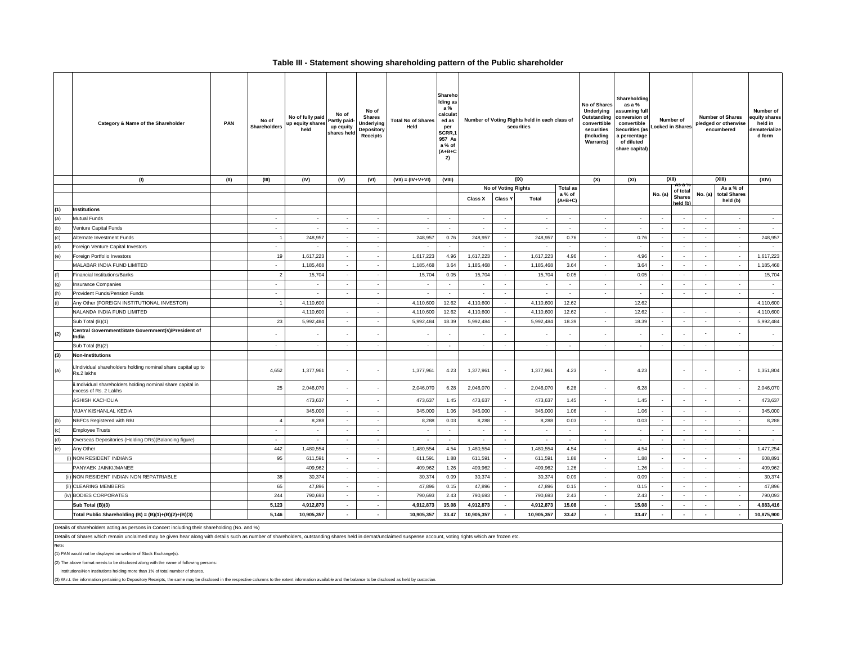### **Table III - Statement showing shareholding pattern of the Public shareholder**

|     | Category & Name of the Shareholder                                                   | PAN  | No of<br>Shareholders    | No of fully paid<br>up equity shares<br>held | No of<br>Partly paid-<br>up equity<br>shares held | No of<br>Shares<br>Underlying<br>Depository<br>Receipts | <b>Total No of Shares</b><br>Held | Shareho<br>Iding as<br>a %<br>calculat<br>ed as<br>per<br>SCRR,1<br>957 As<br>a % of<br>$(A+B+C$<br>2) | Number of Voting Rights held in each class of<br>securities |                             |              | No of Shares<br>Underlying<br>Outstanding<br>converttible<br>securities<br>(Including<br><b>Warrants)</b> |                          |                          | Shareholding<br>as a %<br>assuming ful<br>conversion of<br>Number of<br>convertible<br>Locked in Shares<br>Securities (as<br>a percentage<br>of diluted<br>share capital) |                           | <b>Number of Shares</b><br>pledged or otherwise<br>encumbered |                                   | Number of<br>quity shares<br>held in<br>dematerialize<br>d form |  |
|-----|--------------------------------------------------------------------------------------|------|--------------------------|----------------------------------------------|---------------------------------------------------|---------------------------------------------------------|-----------------------------------|--------------------------------------------------------------------------------------------------------|-------------------------------------------------------------|-----------------------------|--------------|-----------------------------------------------------------------------------------------------------------|--------------------------|--------------------------|---------------------------------------------------------------------------------------------------------------------------------------------------------------------------|---------------------------|---------------------------------------------------------------|-----------------------------------|-----------------------------------------------------------------|--|
|     | (1)                                                                                  | (II) | (III)                    | (IV)                                         | (V)                                               | (VI)                                                    | $(VII) = (IV+V+VI)$               | (VIII)                                                                                                 |                                                             |                             | (IX)         |                                                                                                           | (X)                      | (XI)                     |                                                                                                                                                                           | (XII)<br>AS a %           | (XIII)                                                        |                                   | (XIV)                                                           |  |
|     |                                                                                      |      |                          |                                              |                                                   |                                                         |                                   |                                                                                                        |                                                             | No of Voting Rights         |              | <b>Total as</b><br>a % of                                                                                 |                          |                          | No. (a)                                                                                                                                                                   | of total                  |                                                               | As a % of<br>No. (a) total Shares |                                                                 |  |
|     |                                                                                      |      |                          |                                              |                                                   |                                                         |                                   |                                                                                                        | <b>Class X</b>                                              | <b>Class Y</b>              | <b>Total</b> | $(A+B+C)$                                                                                                 |                          |                          |                                                                                                                                                                           | <b>Shares</b><br>held (h) |                                                               | held (b)                          |                                                                 |  |
| (1) | Institutions                                                                         |      |                          |                                              |                                                   |                                                         |                                   |                                                                                                        |                                                             |                             |              |                                                                                                           |                          |                          |                                                                                                                                                                           |                           |                                                               |                                   |                                                                 |  |
| (a) | <b>Mutual Funds</b>                                                                  |      | $\sim$                   |                                              | $\sim$                                            | $\sim$                                                  | $\sim$                            |                                                                                                        |                                                             |                             |              |                                                                                                           | $\sim$                   | $\sim$                   | $\sim$                                                                                                                                                                    |                           |                                                               | $\sim$                            | $\sim$                                                          |  |
| (b) | Venture Capital Funds                                                                |      | $\sim$                   |                                              | $\sim$                                            | $\sim$                                                  | $\sim$                            |                                                                                                        |                                                             |                             |              |                                                                                                           |                          | $\sim$                   |                                                                                                                                                                           | $\overline{\phantom{a}}$  | $\sim$                                                        | $\sim$                            | $\sim$                                                          |  |
| (c) | Alternate Investment Funds                                                           |      | $\overline{1}$           | 248.957                                      | $\sim$                                            | $\sim$                                                  | 248,957                           | 0.76                                                                                                   | 248,957                                                     | $\sim$                      | 248,957      | 0.76                                                                                                      | $\sim$                   | 0.76                     | $\sim$                                                                                                                                                                    | $\sim$                    | $\sim$                                                        | $\sim$                            | 248,957                                                         |  |
| (d) | Foreign Venture Capital Investors                                                    |      | $\sim$                   | $\sim$                                       | $\sim$                                            | $\sim$                                                  | $\sim$                            | $\sim$                                                                                                 | $\sim$                                                      | $\sim$                      | $\sim$       | $\sim$                                                                                                    | $\sim$                   | $\sim$                   | $\sim$                                                                                                                                                                    | $\sim$                    | $\sim$                                                        | $\sim$                            | $\sim$                                                          |  |
| (e) | Foreign Portfolio Investors                                                          |      | 19                       | 1,617,223                                    | $\sim$                                            | $\sim$                                                  | 1,617,223                         | 4.96                                                                                                   | 1,617,223                                                   | $\sim$                      | 1,617,223    | 4.96                                                                                                      | $\sim$                   | 4.96                     | $\sim$                                                                                                                                                                    | $\sim$                    | $\sim$                                                        | $\sim$                            | 1,617,223                                                       |  |
|     | MALABAR INDIA FUND LIMITED                                                           |      | $\sim$                   | 1,185,468                                    | $\sim$                                            | $\sim$                                                  | 1,185,468                         | 3.64                                                                                                   | 1,185,468                                                   | $\sim$                      | 1,185,468    | 3.64                                                                                                      | $\sim$                   | 3.64                     | $\sim$                                                                                                                                                                    | $\mathbf{r}$              | $\sim$                                                        | $\sim$                            | 1,185,468                                                       |  |
| (f) | <b>Financial Institutions/Banks</b>                                                  |      | $\overline{2}$           | 15,704                                       | $\sim$                                            | $\sim$                                                  | 15,704                            | 0.05                                                                                                   | 15,704                                                      | $\sim$                      | 15,704       | 0.05                                                                                                      | $\sim$                   | 0.05                     | $\sim$                                                                                                                                                                    | $\sim$                    | $\sim$                                                        | $\sim$                            | 15,704                                                          |  |
| (g) | <b>Insurance Companies</b>                                                           |      | $\sim$                   | $\sim$                                       | $\sim$                                            | $\sim$                                                  | $\sim$                            |                                                                                                        | $\sim$                                                      |                             | $\sim$       |                                                                                                           | $\sim$                   | $\sim$                   | $\sim$                                                                                                                                                                    | $\tilde{\phantom{a}}$     | $\sim$                                                        | $\sim$                            | $\sim$                                                          |  |
| (h) | Provident Funds/Pension Funds                                                        |      | $\sim$                   | $\sim$                                       | $\sim$                                            | $\sim$                                                  | $\sim$                            | - 20                                                                                                   | $\sim$                                                      | $\sim$                      | $\sim$       | $\sim$                                                                                                    | $\sim$                   | $\sim$                   | $\sim$                                                                                                                                                                    | $\sim$                    | $\sim$                                                        | $\sim$                            | $\sim$                                                          |  |
| (i) | Any Other (FOREIGN INSTITUTIONAL INVESTOR)                                           |      | $\overline{1}$           | 4,110,600                                    |                                                   | $\sim$                                                  | 4,110,600                         | 12.62                                                                                                  | 4,110,600                                                   | $\sim$                      | 4,110,600    | 12.62                                                                                                     |                          | 12.62                    |                                                                                                                                                                           |                           |                                                               |                                   | 4,110,600                                                       |  |
|     | NALANDA INDIA FUND LIMITED                                                           |      |                          | 4,110,600                                    |                                                   | $\sim$                                                  | 4,110,600                         | 12.62                                                                                                  | 4,110,600                                                   |                             | 4,110,600    | 12.62                                                                                                     | $\sim$                   | 12.62                    | $\sim$                                                                                                                                                                    |                           |                                                               | $\sim$                            | 4,110,600                                                       |  |
|     | Sub Total (B)(1)                                                                     |      | 23                       | 5,992,484                                    | $\sim$                                            | $\sim$                                                  | 5,992,484                         | 18.39                                                                                                  | 5,992,484                                                   | $\mathcal{L}_{\mathcal{A}}$ | 5,992,484    | 18.39                                                                                                     | $\cdot$                  | 18.39                    | $\sim$                                                                                                                                                                    | $\sim$                    | $\cdot$                                                       | $\sim$                            | 5,992,484                                                       |  |
| (2) | Central Government/State Government(s)/President of<br>India                         |      |                          |                                              |                                                   |                                                         | $\overline{\phantom{a}}$          |                                                                                                        |                                                             | $\overline{\phantom{a}}$    |              |                                                                                                           | $\overline{\phantom{a}}$ | $\overline{\phantom{a}}$ | $\overline{\phantom{a}}$                                                                                                                                                  |                           |                                                               | $\overline{\phantom{a}}$          | $\overline{\phantom{a}}$                                        |  |
|     | Sub Total (B)(2)                                                                     |      | $\sim$                   | $\sim$                                       | $\sim$                                            | $\sim$                                                  | $\cdot$                           | $\overline{\phantom{a}}$                                                                               | $\sim$                                                      | $\sim$                      | $\sim$       | $\blacksquare$                                                                                            | $\sim$                   | $\overline{\phantom{a}}$ | $\sim$                                                                                                                                                                    | $\sim$                    | $\sim$                                                        | $\sim$                            | $\sim$                                                          |  |
| (3) | <b>Non-Institutions</b>                                                              |      |                          |                                              |                                                   |                                                         |                                   |                                                                                                        |                                                             |                             |              |                                                                                                           |                          |                          |                                                                                                                                                                           |                           |                                                               |                                   |                                                                 |  |
| (a) | i.Individual shareholders holding nominal share capital up to<br>Rs.2 lakhs          |      | 4,652                    | 1,377,961                                    | $\sim$                                            | $\sim$                                                  | 1,377,961                         | 4.23                                                                                                   | 1,377,961                                                   | $\sim$                      | 1,377,961    | 4.23                                                                                                      | $\sim$                   | 4.23                     |                                                                                                                                                                           |                           | ÷.                                                            | $\sim$                            | 1,351,804                                                       |  |
|     | ii.Individual shareholders holding nominal share capital in<br>excess of Rs. 2 Lakhs |      | 25                       | 2,046,070                                    | $\epsilon$                                        |                                                         | 2,046,070                         | 6.28                                                                                                   | 2,046,070                                                   | $\overline{\phantom{a}}$    | 2,046,070    | 6.28                                                                                                      | $\sim$                   | 6.28                     |                                                                                                                                                                           |                           |                                                               | $\ddot{\phantom{a}}$              | 2,046,070                                                       |  |
|     | <b>ASHISH KACHOLIA</b>                                                               |      |                          | 473,637                                      | $\sim$                                            | $\sim$                                                  | 473,637                           | 1.45                                                                                                   | 473,637                                                     | $\overline{\phantom{a}}$    | 473,637      | 1.45                                                                                                      | $\sim$                   | 1.45                     | $\sim$                                                                                                                                                                    | ÷.                        | $\sim$                                                        | $\sim$                            | 473,637                                                         |  |
|     | VIJAY KISHANLAL KEDIA                                                                |      |                          | 345,000                                      | $\sim$                                            | $\sim$                                                  | 345,000                           | 1.06                                                                                                   | 345,000                                                     | $\sim$                      | 345,000      | 1.06                                                                                                      | $\sim$                   | 1.06                     | $\sim$                                                                                                                                                                    | ÷.                        | $\sim$                                                        | $\sim$                            | 345,000                                                         |  |
| (b) | NBFCs Registered with RBI                                                            |      |                          | 8,288                                        | $\sim$                                            | $\sim$                                                  | 8,288                             | 0.03                                                                                                   | 8,288                                                       | $\sim$                      | 8,288        | 0.03                                                                                                      | $\sim$                   | 0.03                     | $\overline{\phantom{a}}$                                                                                                                                                  | $\overline{\phantom{a}}$  | $\blacksquare$                                                | $\sim$                            | 8,288                                                           |  |
| (c) | <b>Employee Trusts</b>                                                               |      | $\sim$                   | $\sim$                                       | $\sim$                                            | $\sim$                                                  | $\sim$                            | $\sim$                                                                                                 | $\sim$                                                      | $\sim$                      | $\sim$       | $\sim$                                                                                                    | $\sim$                   | $\sim$                   | $\sim$                                                                                                                                                                    | $\sim$                    | $\sim$                                                        | $\sim$                            | $\sim$                                                          |  |
| (d) | Overseas Depositories (Holding DRs)(Balancing figure)                                |      | $\overline{\phantom{a}}$ | $\overline{\phantom{a}}$                     | $\sim$                                            | $\sim$                                                  | $\sim$                            | $\overline{\phantom{a}}$                                                                               | $\sim$                                                      | $\overline{\phantom{a}}$    | $\sim$       | $\overline{\phantom{a}}$                                                                                  | $\overline{\phantom{a}}$ | $\overline{\phantom{a}}$ | $\overline{\phantom{a}}$                                                                                                                                                  | $\overline{\phantom{a}}$  | $\sim$                                                        | $\sim$                            | $\sim$                                                          |  |
| (e) | Any Other                                                                            |      | 442                      | 1,480,554                                    | $\sim$                                            | $\sim$                                                  | 1,480,554                         | 4.54                                                                                                   | 1,480,554                                                   |                             | 1,480,554    | 4.54                                                                                                      | $\sim$                   | 4.54                     | $\sim$                                                                                                                                                                    | $\sim$                    | $\sim$                                                        | $\sim$                            | 1,477,254                                                       |  |
|     | (i) NON RESIDENT INDIANS                                                             |      | 95                       | 611,591                                      | $\sim$                                            |                                                         | 611,591                           | 1.88                                                                                                   | 611,591                                                     |                             | 611,591      | 1.88                                                                                                      | $\sim$                   | 1.88                     | $\sim$                                                                                                                                                                    | $\tilde{\phantom{a}}$     | $\overline{\phantom{a}}$                                      | $\sim$                            | 608,891                                                         |  |
|     | PANYAEK JAINKIJMANEE                                                                 |      |                          | 409,962                                      | $\sim$                                            | $\sim$                                                  | 409,962                           | 1.26                                                                                                   | 409,962                                                     | $\sim$                      | 409,962      | 1.26                                                                                                      | $\sim$                   | 1.26                     | $\sim$                                                                                                                                                                    | $\sim$                    | $\sim$                                                        | $\sim$                            | 409,962                                                         |  |
|     | (ii) NON RESIDENT INDIAN NON REPATRIABLE                                             |      | 38                       | 30,374                                       | $\sim$                                            | $\sim$                                                  | 30,374                            | 0.09                                                                                                   | 30,374                                                      |                             | 30,374       | 0.09                                                                                                      | $\sim$                   | 0.09                     | $\sim$                                                                                                                                                                    | ÷.                        | $\sim$                                                        | $\sim$                            | 30,374                                                          |  |
|     | (ii) CLEARING MEMBERS                                                                |      | 65                       | 47,896                                       | $\sim$                                            | $\sim$                                                  | 47,896                            | 0.15                                                                                                   | 47,896                                                      |                             | 47,896       | 0.15                                                                                                      |                          | 0.15                     | $\sim$                                                                                                                                                                    |                           | $\sim$                                                        | $\sim$                            | 47,896                                                          |  |
|     | (iv) BODIES CORPORATES                                                               |      | 244                      | 790,693                                      | $\hat{\phantom{a}}$                               | $\sim$                                                  | 790,693                           | 2.43                                                                                                   | 790,693                                                     |                             | 790,693      | 2.43                                                                                                      | $\cdot$                  | 2.43                     | $\sim$                                                                                                                                                                    | $\tilde{\phantom{a}}$     | $\blacksquare$                                                | $\sim$                            | 790,093                                                         |  |
|     | Sub Total (B)(3)                                                                     |      | 5,123                    | 4,912,873                                    | $\sim$                                            | $\sim$                                                  | 4,912,873                         | 15.08                                                                                                  | 4,912,873                                                   | $\overline{\phantom{a}}$    | 4,912,873    | 15.08                                                                                                     | $\sim$                   | 15.08                    | $\overline{\phantom{a}}$                                                                                                                                                  | $\overline{\phantom{a}}$  | $\overline{\phantom{a}}$                                      | $\overline{\phantom{a}}$          | 4,883,416                                                       |  |
|     | Total Public Shareholding (B) = (B)(1)+(B)(2)+(B)(3)                                 |      | 5,146                    | 10,905,357                                   | $\sim$                                            | $\overline{\phantom{a}}$                                | 10,905,357                        | 33.47                                                                                                  | 10,905,357                                                  | $\overline{\phantom{a}}$    | 10,905,357   | 33.47                                                                                                     | $\sim$                   | 33.47                    | $\blacksquare$                                                                                                                                                            | $\blacksquare$            | $\overline{\phantom{a}}$                                      | $\overline{\phantom{a}}$          | 10,875,900                                                      |  |

Details of shareholders acting as persons in Concert including their shareholding (No. and %)

Details of Shares which remain unclaimed may be given hear along with details such as number of shareholders, outstanding shares held in demat/unclaimed suspense account, voting rights which are frozen etc.

**Note:**

(1) PAN would not be displayed on website of Stock Exchange(s).

(2) The above format needs to be disclosed along with the name of following persons:

Institutions/Non Institutions holding more than 1% of total number of shares.

(3) W.r.t. the information pertaining to Depository Receipts, the same may be disclosed in the respective columns to the extent information available and the balance to be disclosed as held by custodian.